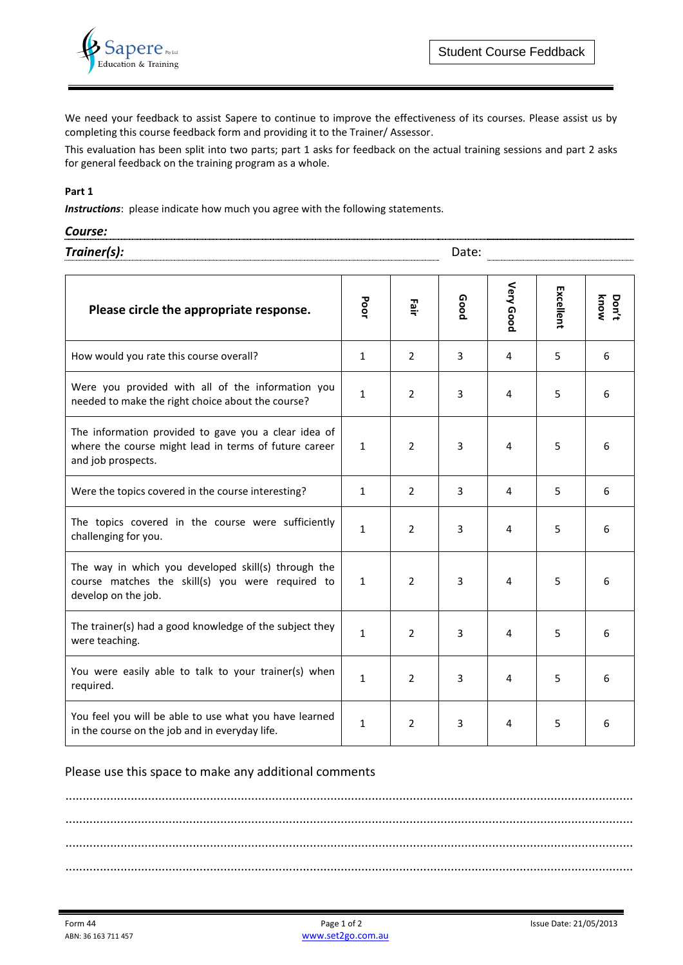

We need your feedback to assist Sapere to continue to improve the effectiveness of its courses. Please assist us by completing this course feedback form and providing it to the Trainer/ Assessor.

This evaluation has been split into two parts; part 1 asks for feedback on the actual training sessions and part 2 asks for general feedback on the training program as a whole.

#### **Part 1**

*Instructions*: please indicate how much you agree with the following statements.

| Course:     | -------------------------------<br><br>-------------------------------- |
|-------------|-------------------------------------------------------------------------|
| Trainer(s): | つっし                                                                     |

| Please circle the appropriate response.                                                                                             | Poor         | Fair           | Good | Very Good | Excellent | know<br>Don't |
|-------------------------------------------------------------------------------------------------------------------------------------|--------------|----------------|------|-----------|-----------|---------------|
| How would you rate this course overall?                                                                                             | $\mathbf{1}$ | $\overline{2}$ | 3    | 4         | 5         | 6             |
| Were you provided with all of the information you<br>needed to make the right choice about the course?                              |              | $\overline{2}$ | 3    | 4         | 5         | 6             |
| The information provided to gave you a clear idea of<br>where the course might lead in terms of future career<br>and job prospects. | $\mathbf{1}$ | $\overline{2}$ | 3    | 4         | 5         | 6             |
| Were the topics covered in the course interesting?                                                                                  | $\mathbf{1}$ | $\overline{2}$ | 3    | 4         | 5         | 6             |
| The topics covered in the course were sufficiently<br>challenging for you.                                                          |              | $\overline{2}$ | 3    | 4         | 5         | 6             |
| The way in which you developed skill(s) through the<br>course matches the skill(s) you were required to<br>develop on the job.      |              | 2              | 3    | 4         | 5         | 6             |
| The trainer(s) had a good knowledge of the subject they<br>were teaching.                                                           | $\mathbf{1}$ | 2              | 3    | 4         | 5         | 6             |
| You were easily able to talk to your trainer(s) when<br>required.                                                                   |              | $\overline{2}$ | 3    | 4         | 5         | 6             |
| You feel you will be able to use what you have learned<br>in the course on the job and in everyday life.                            | $\mathbf{1}$ | $\overline{2}$ | 3    | 4         | 5         | 6             |

#### Please use this space to make any additional comments

..................................................................................................................................................................... ..................................................................................................................................................................... ..................................................................................................................................................................... .....................................................................................................................................................................